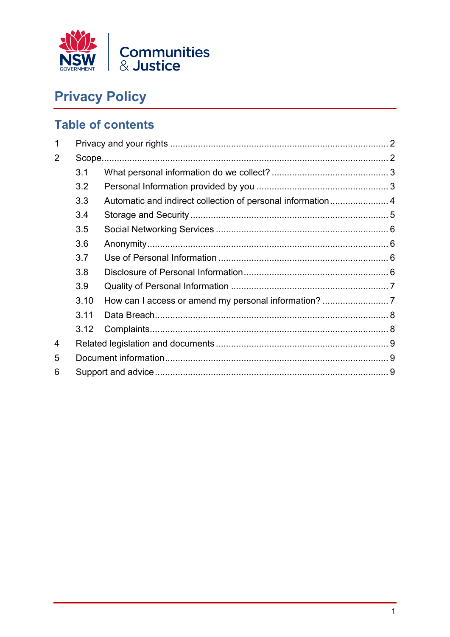

# **Privacy Policy**

## **Table of contents**

| 1              |      |  |  |  |
|----------------|------|--|--|--|
| $\overline{2}$ |      |  |  |  |
|                | 3.1  |  |  |  |
|                | 3.2  |  |  |  |
|                | 3.3  |  |  |  |
|                | 3.4  |  |  |  |
|                | 3.5  |  |  |  |
|                | 3.6  |  |  |  |
|                | 3.7  |  |  |  |
|                | 3.8  |  |  |  |
|                | 3.9  |  |  |  |
|                | 3.10 |  |  |  |
|                | 3.11 |  |  |  |
|                | 3.12 |  |  |  |
| 4              |      |  |  |  |
| 5              |      |  |  |  |
| 6              |      |  |  |  |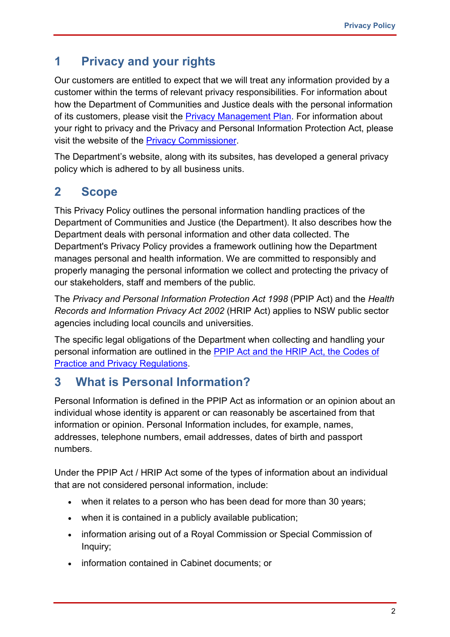## <span id="page-1-0"></span>**1 Privacy and your rights**

Our customers are entitled to expect that we will treat any information provided by a customer within the terms of relevant privacy responsibilities. For information about how the Department of Communities and Justice deals with the personal information of its customers, please visit the [Privacy Management Plan.](https://www.dcj.nsw.gov.au/statements/privacy/privacy-management-plan.html) For information about your right to privacy and the Privacy and Personal Information Protection Act, please visit the website of the [Privacy Commissioner.](http://www.ipc.nsw.gov.au/)

The Department's website, along with its subsites, has developed a general privacy policy which is adhered to by all business units.

## <span id="page-1-1"></span>**2 Scope**

This Privacy Policy outlines the personal information handling practices of the Department of Communities and Justice (the Department). It also describes how the Department deals with personal information and other data collected. The Department's Privacy Policy provides a framework outlining how the Department manages personal and health information. We are committed to responsibly and properly managing the personal information we collect and protecting the privacy of our stakeholders, staff and members of the public.

The *Privacy and Personal Information Protection Act 1998* (PPIP Act) and the *Health Records and Information Privacy Act 2002* (HRIP Act) applies to NSW public sector agencies including local councils and universities.

The specific legal obligations of the Department when collecting and handling your personal information are outlined in the [PPIP Act and the HRIP Act, the Codes of](https://www.ipc.nsw.gov.au/privacy-laws)  [Practice and Privacy Regulations.](https://www.ipc.nsw.gov.au/privacy-laws)

## **3 What is Personal Information?**

Personal Information is defined in the PPIP Act as information or an opinion about an individual whose identity is apparent or can reasonably be ascertained from that information or opinion. Personal Information includes, for example, names, addresses, telephone numbers, email addresses, dates of birth and passport numbers.

Under the PPIP Act / HRIP Act some of the types of information about an individual that are not considered personal information, include:

- when it relates to a person who has been dead for more than 30 years:
- when it is contained in a publicly available publication;
- information arising out of a Royal Commission or Special Commission of Inquiry;
- information contained in Cabinet documents; or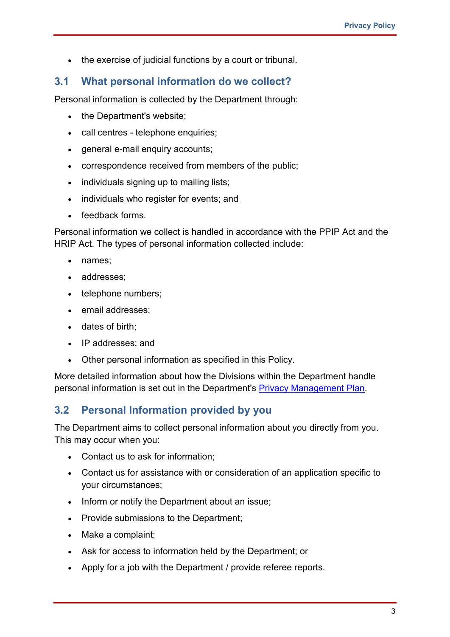• the exercise of judicial functions by a court or tribunal.

#### <span id="page-2-0"></span>**3.1 What personal information do we collect?**

Personal information is collected by the Department through:

- the Department's website;
- call centres telephone enquiries;
- general e-mail enquiry accounts;
- correspondence received from members of the public;
- individuals signing up to mailing lists;
- individuals who register for events; and
- feedback forms.

Personal information we collect is handled in accordance with the PPIP Act and the HRIP Act. The types of personal information collected include:

- names;
- addresses;
- telephone numbers;
- email addresses;
- dates of birth;
- IP addresses; and
- Other personal information as specified in this Policy.

More detailed information about how the Divisions within the Department handle personal information is set out in the Department's [Privacy Management Plan.](https://www.dcj.nsw.gov.au/statements/privacy/privacy-management-plan.html)

#### <span id="page-2-1"></span>**3.2 Personal Information provided by you**

The Department aims to collect personal information about you directly from you. This may occur when you:

- Contact us to ask for information;
- Contact us for assistance with or consideration of an application specific to your circumstances;
- Inform or notify the Department about an issue;
- Provide submissions to the Department;
- Make a complaint;
- Ask for access to information held by the Department; or
- Apply for a job with the Department / provide referee reports.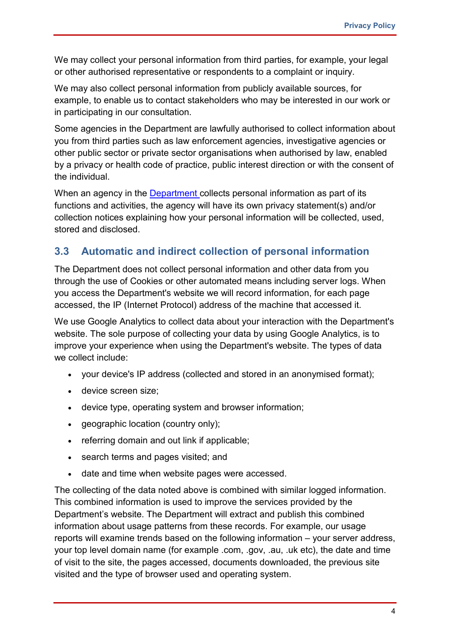We may collect your personal information from third parties, for example, your legal or other authorised representative or respondents to a complaint or inquiry.

We may also collect personal information from publicly available sources, for example, to enable us to contact stakeholders who may be interested in our work or in participating in our consultation.

Some agencies in the Department are lawfully authorised to collect information about you from third parties such as law enforcement agencies, investigative agencies or other public sector or private sector organisations when authorised by law, enabled by a privacy or health code of practice, public interest direction or with the consent of the individual.

When an agency in the **[Department](https://dcj.nsw.gov.au/about-us.html)** collects personal information as part of its functions and activities, the agency will have its own privacy statement(s) and/or collection notices explaining how your personal information will be collected, used, stored and disclosed.

#### <span id="page-3-0"></span>**3.3 Automatic and indirect collection of personal information**

The Department does not collect personal information and other data from you through the use of Cookies or other automated means including server logs. When you access the Department's website we will record information, for each page accessed, the IP (Internet Protocol) address of the machine that accessed it.

We use Google Analytics to collect data about your interaction with the Department's website. The sole purpose of collecting your data by using Google Analytics, is to improve your experience when using the Department's website. The types of data we collect include:

- your device's IP address (collected and stored in an anonymised format);
- device screen size;
- device type, operating system and browser information;
- geographic location (country only);
- referring domain and out link if applicable;
- search terms and pages visited; and
- date and time when website pages were accessed.

The collecting of the data noted above is combined with similar logged information. This combined information is used to improve the services provided by the Department's website. The Department will extract and publish this combined information about usage patterns from these records. For example, our usage reports will examine trends based on the following information – your server address, your top level domain name (for example .com, .gov, .au, .uk etc), the date and time of visit to the site, the pages accessed, documents downloaded, the previous site visited and the type of browser used and operating system.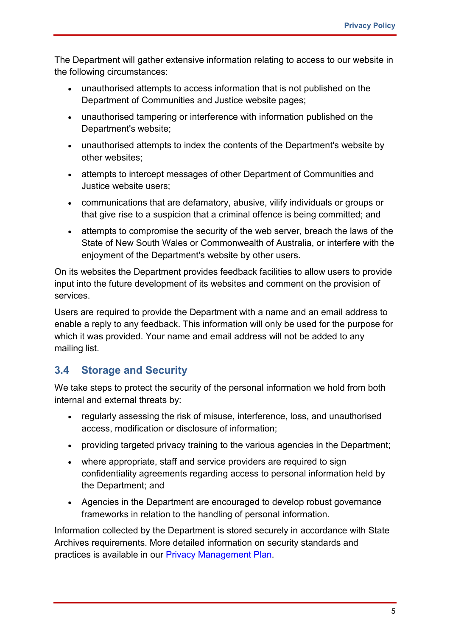The Department will gather extensive information relating to access to our website in the following circumstances:

- unauthorised attempts to access information that is not published on the Department of Communities and Justice website pages;
- unauthorised tampering or interference with information published on the Department's website;
- unauthorised attempts to index the contents of the Department's website by other websites;
- attempts to intercept messages of other Department of Communities and Justice website users;
- communications that are defamatory, abusive, vilify individuals or groups or that give rise to a suspicion that a criminal offence is being committed; and
- attempts to compromise the security of the web server, breach the laws of the State of New South Wales or Commonwealth of Australia, or interfere with the enjoyment of the Department's website by other users.

On its websites the Department provides feedback facilities to allow users to provide input into the future development of its websites and comment on the provision of services.

Users are required to provide the Department with a name and an email address to enable a reply to any feedback. This information will only be used for the purpose for which it was provided. Your name and email address will not be added to any mailing list.

#### <span id="page-4-0"></span>**3.4 Storage and Security**

We take steps to protect the security of the personal information we hold from both internal and external threats by:

- regularly assessing the risk of misuse, interference, loss, and unauthorised access, modification or disclosure of information;
- providing targeted privacy training to the various agencies in the Department;
- where appropriate, staff and service providers are required to sign confidentiality agreements regarding access to personal information held by the Department; and
- Agencies in the Department are encouraged to develop robust governance frameworks in relation to the handling of personal information.

Information collected by the Department is stored securely in accordance with State Archives requirements. More detailed information on security standards and practices is available in our [Privacy Management Plan.](https://www.dcj.nsw.gov.au/statements/privacy/privacy-management-plan.html)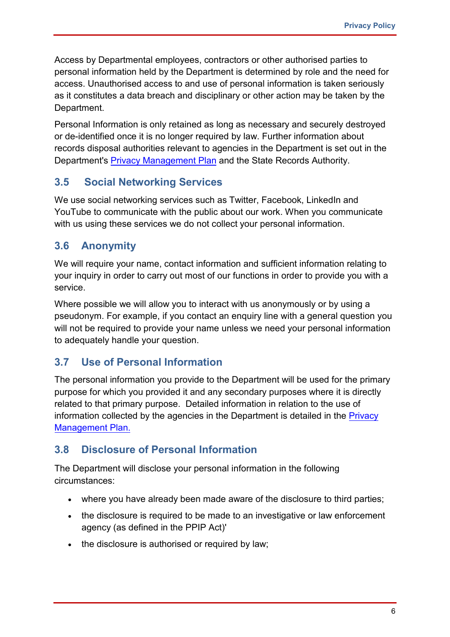Access by Departmental employees, contractors or other authorised parties to personal information held by the Department is determined by role and the need for access. Unauthorised access to and use of personal information is taken seriously as it constitutes a data breach and disciplinary or other action may be taken by the Department.

Personal Information is only retained as long as necessary and securely destroyed or de-identified once it is no longer required by law. Further information about records disposal authorities relevant to agencies in the Department is set out in the Department's Privacy [Management Plan](https://www.dcj.nsw.gov.au/statements/privacy/privacy-management-plan.html) and the State Records Authority.

#### <span id="page-5-0"></span>**3.5 Social Networking Services**

We use social networking services such as Twitter, Facebook, LinkedIn and YouTube to communicate with the public about our work. When you communicate with us using these services we do not collect your personal information.

#### <span id="page-5-1"></span>**3.6 Anonymity**

We will require your name, contact information and sufficient information relating to your inquiry in order to carry out most of our functions in order to provide you with a service.

Where possible we will allow you to interact with us anonymously or by using a pseudonym. For example, if you contact an enquiry line with a general question you will not be required to provide your name unless we need your personal information to adequately handle your question.

#### <span id="page-5-2"></span>**3.7 Use of Personal Information**

The personal information you provide to the Department will be used for the primary purpose for which you provided it and any secondary purposes where it is directly related to that primary purpose. Detailed information in relation to the use of information collected by the agencies in the Department is detailed in the [Privacy](https://www.dcj.nsw.gov.au/statements/privacy/privacy-management-plan.html)  [Management Plan.](https://www.dcj.nsw.gov.au/statements/privacy/privacy-management-plan.html)

#### <span id="page-5-3"></span>**3.8 Disclosure of Personal Information**

The Department will disclose your personal information in the following circumstances:

- where you have already been made aware of the disclosure to third parties;
- the disclosure is required to be made to an investigative or law enforcement agency (as defined in the PPIP Act)'
- the disclosure is authorised or required by law;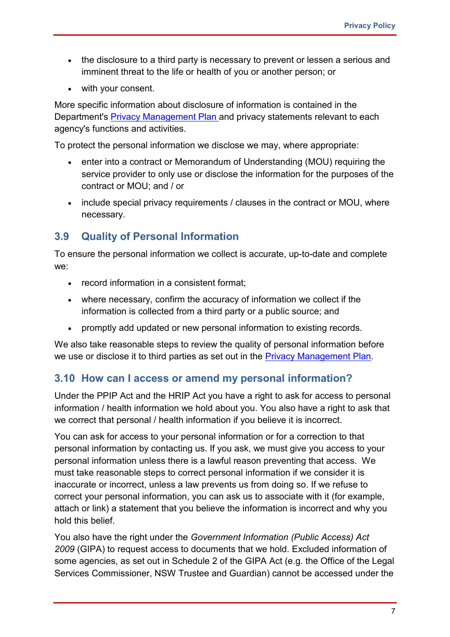- the disclosure to a third party is necessary to prevent or lessen a serious and imminent threat to the life or health of you or another person; or
- with your consent.

More specific information about disclosure of information is contained in the Department's **[Privacy Management Plan](https://www.dcj.nsw.gov.au/statements/privacy/privacy-management-plan.html)** and privacy statements relevant to each agency's functions and activities.

To protect the personal information we disclose we may, where appropriate:

- enter into a contract or Memorandum of Understanding (MOU) requiring the service provider to only use or disclose the information for the purposes of the contract or MOU; and / or
- include special privacy requirements / clauses in the contract or MOU, where necessary.

#### <span id="page-6-0"></span>**3.9 Quality of Personal Information**

To ensure the personal information we collect is accurate, up-to-date and complete we:

- record information in a consistent format:
- where necessary, confirm the accuracy of information we collect if the information is collected from a third party or a public source; and
- promptly add updated or new personal information to existing records.

We also take reasonable steps to review the quality of personal information before we use or disclose it to third parties as set out in the [Privacy Management Plan.](https://www.dcj.nsw.gov.au/statements/privacy/privacy-management-plan.html)

#### <span id="page-6-1"></span>**3.10 How can I access or amend my personal information?**

Under the PPIP Act and the HRIP Act you have a right to ask for access to personal information / health information we hold about you. You also have a right to ask that we correct that personal / health information if you believe it is incorrect.

You can ask for access to your personal information or for a correction to that personal information by contacting us. If you ask, we must give you access to your personal information unless there is a lawful reason preventing that access. We must take reasonable steps to correct personal information if we consider it is inaccurate or incorrect, unless a law prevents us from doing so. If we refuse to correct your personal information, you can ask us to associate with it (for example, attach or link) a statement that you believe the information is incorrect and why you hold this belief.

You also have the right under the *Government Information (Public Access) Act 2009* (GIPA) to request access to documents that we hold. Excluded information of some agencies, as set out in Schedule 2 of the GIPA Act (e.g. the Office of the Legal Services Commissioner, NSW Trustee and Guardian) cannot be accessed under the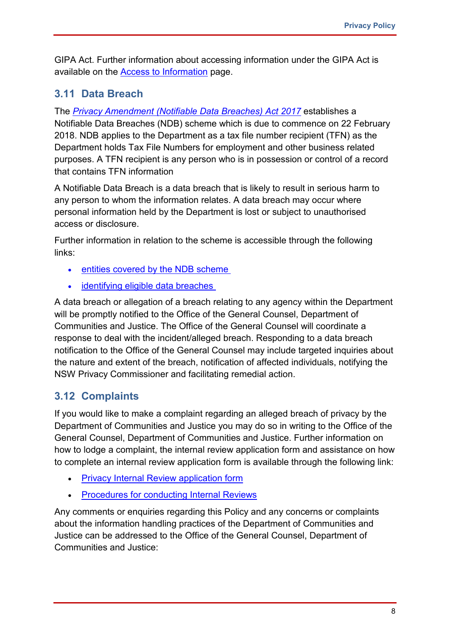GIPA Act. Further information about accessing information under the GIPA Act is available on the [Access to Information](https://www.dcj.nsw.gov.au/about-us/gipa.html) page.

#### <span id="page-7-0"></span>**3.11 Data Breach**

The *[Privacy Amendment \(Notifiable Data Breaches\) Act 2017](https://www.legislation.gov.au/Details/C2017A00012)* establishes a Notifiable Data Breaches (NDB) scheme which is due to commence on 22 February 2018. NDB applies to the Department as a tax file number recipient (TFN) as the Department holds Tax File Numbers for employment and other business related purposes. A TFN recipient is any person who is in possession or control of a record that contains TFN information

A Notifiable Data Breach is a data breach that is likely to result in serious harm to any person to whom the information relates. A data breach may occur where personal information held by the Department is lost or subject to unauthorised access or disclosure.

Further information in relation to the scheme is accessible through the following links:

- [entities covered by the NDB scheme](https://www.oaic.gov.au/privacy/guidance-and-advice/data-breach-preparation-and-response/part-4-notifiable-data-breach-ndb-scheme/#entities-covered-by-the-ndb-scheme)
- [identifying eligible data breaches](https://www.oaic.gov.au/privacy/guidance-and-advice/data-breach-preparation-and-response/part-4-notifiable-data-breach-ndb-scheme/#identifying-eligible-data-breaches)

A data breach or allegation of a breach relating to any agency within the Department will be promptly notified to the Office of the General Counsel, Department of Communities and Justice. The Office of the General Counsel will coordinate a response to deal with the incident/alleged breach. Responding to a data breach notification to the Office of the General Counsel may include targeted inquiries about the nature and extent of the breach, notification of affected individuals, notifying the NSW Privacy Commissioner and facilitating remedial action.

#### <span id="page-7-1"></span>**3.12 Complaints**

If you would like to make a complaint regarding an alleged breach of privacy by the Department of Communities and Justice you may do so in writing to the Office of the General Counsel, Department of Communities and Justice. Further information on how to lodge a complaint, the internal review application form and assistance on how to complete an internal review application form is available through the following link:

- [Privacy Internal Review](https://www.dcj.nsw.gov.au/statements/privacy.html) application form
- [Procedures for conducting Internal Reviews](https://www.dcj.nsw.gov.au/statements/privacy/privacy-management-plan.html)

Any comments or enquiries regarding this Policy and any concerns or complaints about the information handling practices of the Department of Communities and Justice can be addressed to the Office of the General Counsel, Department of Communities and Justice: